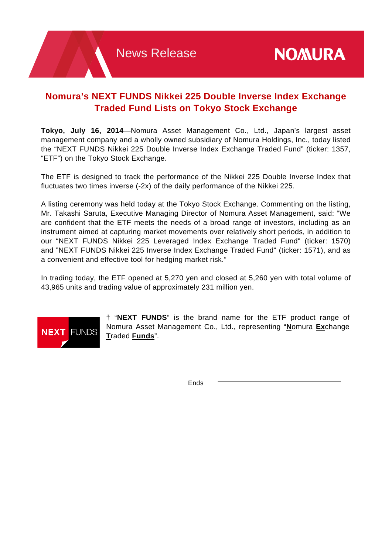# **Nomura's NEXT FUNDS Nikkei 225 Double Inverse Index Exchange Traded Fund Lists on Tokyo Stock Exchange**

**Tokyo, July 16, 2014**—Nomura Asset Management Co., Ltd., Japan's largest asset management company and a wholly owned subsidiary of Nomura Holdings, Inc., today listed the "NEXT FUNDS Nikkei 225 Double Inverse Index Exchange Traded Fund" (ticker: 1357, "ETF") on the Tokyo Stock Exchange.

The ETF is designed to track the performance of the Nikkei 225 Double Inverse Index that fluctuates two times inverse (-2x) of the daily performance of the Nikkei 225.

A listing ceremony was held today at the Tokyo Stock Exchange. Commenting on the listing, Mr. Takashi Saruta, Executive Managing Director of Nomura Asset Management, said: "We are confident that the ETF meets the needs of a broad range of investors, including as an instrument aimed at capturing market movements over relatively short periods, in addition to our "NEXT FUNDS Nikkei 225 Leveraged Index Exchange Traded Fund" (ticker: 1570) and "NEXT FUNDS Nikkei 225 Inverse Index Exchange Traded Fund" (ticker: 1571), and as a convenient and effective tool for hedging market risk."

In trading today, the ETF opened at 5,270 yen and closed at 5,260 yen with total volume of 43,965 units and trading value of approximately 231 million yen.



† "**NEXT FUNDS**" is the brand name for the ETF product range of Nomura Asset Management Co., Ltd., representing "**N**omura **Ex**change **T**raded **Funds**".

Ends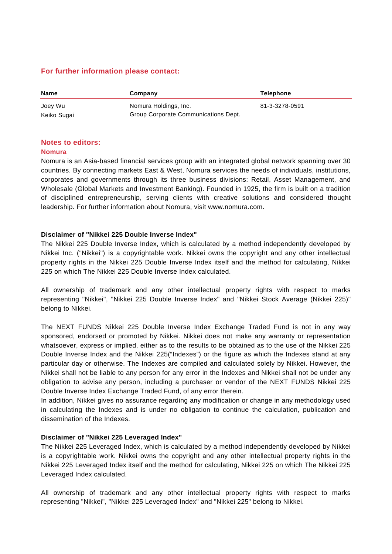# **For further information please contact:**

| <b>Name</b> | Company                              | <b>Telephone</b> |
|-------------|--------------------------------------|------------------|
| Joey Wu     | Nomura Holdings, Inc.                | 81-3-3278-0591   |
| Keiko Sugai | Group Corporate Communications Dept. |                  |

# **Notes to editors:**

#### **Nomura**

Nomura is an Asia-based financial services group with an integrated global network spanning over 30 countries. By connecting markets East & West, Nomura services the needs of individuals, institutions, corporates and governments through its three business divisions: Retail, Asset Management, and Wholesale (Global Markets and Investment Banking). Founded in 1925, the firm is built on a tradition of disciplined entrepreneurship, serving clients with creative solutions and considered thought leadership. For further information about Nomura, visit www.nomura.com.

#### **Disclaimer of "Nikkei 225 Double Inverse Index"**

The Nikkei 225 Double Inverse Index, which is calculated by a method independently developed by Nikkei Inc. ("Nikkei") is a copyrightable work. Nikkei owns the copyright and any other intellectual property rights in the Nikkei 225 Double Inverse Index itself and the method for calculating, Nikkei 225 on which The Nikkei 225 Double Inverse Index calculated.

All ownership of trademark and any other intellectual property rights with respect to marks representing "Nikkei", "Nikkei 225 Double Inverse Index" and "Nikkei Stock Average (Nikkei 225)" belong to Nikkei.

The NEXT FUNDS Nikkei 225 Double Inverse Index Exchange Traded Fund is not in any way sponsored, endorsed or promoted by Nikkei. Nikkei does not make any warranty or representation whatsoever, express or implied, either as to the results to be obtained as to the use of the Nikkei 225 Double Inverse Index and the Nikkei 225("Indexes") or the figure as which the Indexes stand at any particular day or otherwise. The Indexes are compiled and calculated solely by Nikkei. However, the Nikkei shall not be liable to any person for any error in the Indexes and Nikkei shall not be under any obligation to advise any person, including a purchaser or vendor of the NEXT FUNDS Nikkei 225 Double Inverse Index Exchange Traded Fund, of any error therein.

In addition, Nikkei gives no assurance regarding any modification or change in any methodology used in calculating the Indexes and is under no obligation to continue the calculation, publication and dissemination of the Indexes.

# **Disclaimer of "Nikkei 225 Leveraged Index"**

The Nikkei 225 Leveraged Index, which is calculated by a method independently developed by Nikkei is a copyrightable work. Nikkei owns the copyright and any other intellectual property rights in the Nikkei 225 Leveraged Index itself and the method for calculating, Nikkei 225 on which The Nikkei 225 Leveraged Index calculated.

All ownership of trademark and any other intellectual property rights with respect to marks representing "Nikkei", "Nikkei 225 Leveraged Index" and "Nikkei 225" belong to Nikkei.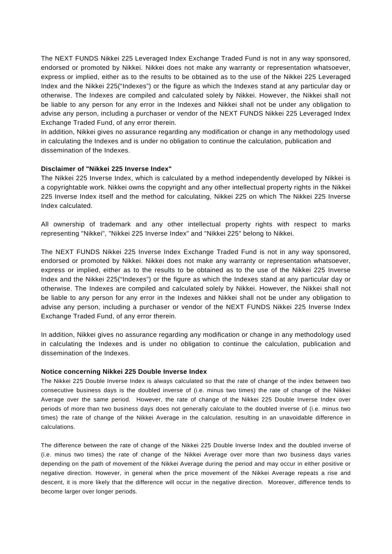The NEXT FUNDS Nikkei 225 Leveraged Index Exchange Traded Fund is not in any way sponsored, endorsed or promoted by Nikkei. Nikkei does not make any warranty or representation whatsoever, express or implied, either as to the results to be obtained as to the use of the Nikkei 225 Leveraged Index and the Nikkei 225("Indexes") or the figure as which the Indexes stand at any particular day or otherwise. The Indexes are compiled and calculated solely by Nikkei. However, the Nikkei shall not be liable to any person for any error in the Indexes and Nikkei shall not be under any obligation to advise any person, including a purchaser or vendor of the NEXT FUNDS Nikkei 225 Leveraged Index Exchange Traded Fund, of any error therein.

In addition, Nikkei gives no assurance regarding any modification or change in any methodology used in calculating the Indexes and is under no obligation to continue the calculation, publication and dissemination of the Indexes.

#### **Disclaimer of "Nikkei 225 Inverse Index"**

The Nikkei 225 Inverse Index, which is calculated by a method independently developed by Nikkei is a copyrightable work. Nikkei owns the copyright and any other intellectual property rights in the Nikkei 225 Inverse Index itself and the method for calculating, Nikkei 225 on which The Nikkei 225 Inverse Index calculated.

All ownership of trademark and any other intellectual property rights with respect to marks representing "Nikkei", "Nikkei 225 Inverse Index" and "Nikkei 225" belong to Nikkei.

The NEXT FUNDS Nikkei 225 Inverse Index Exchange Traded Fund is not in any way sponsored, endorsed or promoted by Nikkei. Nikkei does not make any warranty or representation whatsoever, express or implied, either as to the results to be obtained as to the use of the Nikkei 225 Inverse Index and the Nikkei 225("Indexes") or the figure as which the Indexes stand at any particular day or otherwise. The Indexes are compiled and calculated solely by Nikkei. However, the Nikkei shall not be liable to any person for any error in the Indexes and Nikkei shall not be under any obligation to advise any person, including a purchaser or vendor of the NEXT FUNDS Nikkei 225 Inverse Index Exchange Traded Fund, of any error therein.

In addition, Nikkei gives no assurance regarding any modification or change in any methodology used in calculating the Indexes and is under no obligation to continue the calculation, publication and dissemination of the Indexes.

# **Notice concerning Nikkei 225 Double Inverse Index**

The Nikkei 225 Double Inverse Index is always calculated so that the rate of change of the index between two consecutive business days is the doubled inverse of (i.e. minus two times) the rate of change of the Nikkei Average over the same period. However, the rate of change of the Nikkei 225 Double Inverse Index over periods of more than two business days does not generally calculate to the doubled inverse of (i.e. minus two times) the rate of change of the Nikkei Average in the calculation, resulting in an unavoidable difference in calculations.

The difference between the rate of change of the Nikkei 225 Double Inverse Index and the doubled inverse of (i.e. minus two times) the rate of change of the Nikkei Average over more than two business days varies depending on the path of movement of the Nikkei Average during the period and may occur in either positive or negative direction. However, in general when the price movement of the Nikkei Average repeats a rise and descent, it is more likely that the difference will occur in the negative direction. Moreover, difference tends to become larger over longer periods.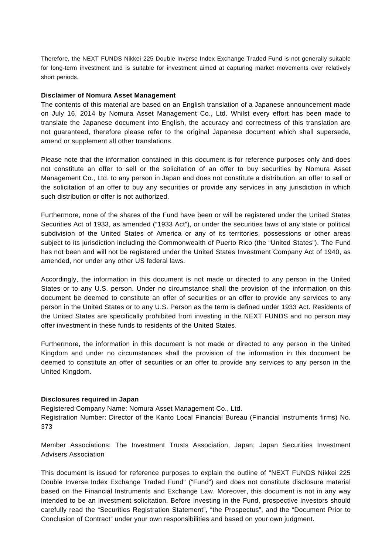Therefore, the NEXT FUNDS Nikkei 225 Double Inverse Index Exchange Traded Fund is not generally suitable for long-term investment and is suitable for investment aimed at capturing market movements over relatively short periods.

#### **Disclaimer of Nomura Asset Management**

The contents of this material are based on an English translation of a Japanese announcement made on July 16, 2014 by Nomura Asset Management Co., Ltd. Whilst every effort has been made to translate the Japanese document into English, the accuracy and correctness of this translation are not guaranteed, therefore please refer to the original Japanese document which shall supersede, amend or supplement all other translations.

Please note that the information contained in this document is for reference purposes only and does not constitute an offer to sell or the solicitation of an offer to buy securities by Nomura Asset Management Co., Ltd. to any person in Japan and does not constitute a distribution, an offer to sell or the solicitation of an offer to buy any securities or provide any services in any jurisdiction in which such distribution or offer is not authorized.

Furthermore, none of the shares of the Fund have been or will be registered under the United States Securities Act of 1933, as amended ("1933 Act"), or under the securities laws of any state or political subdivision of the United States of America or any of its territories, possessions or other areas subject to its jurisdiction including the Commonwealth of Puerto Rico (the "United States"). The Fund has not been and will not be registered under the United States Investment Company Act of 1940, as amended, nor under any other US federal laws.

Accordingly, the information in this document is not made or directed to any person in the United States or to any U.S. person. Under no circumstance shall the provision of the information on this document be deemed to constitute an offer of securities or an offer to provide any services to any person in the United States or to any U.S. Person as the term is defined under 1933 Act. Residents of the United States are specifically prohibited from investing in the NEXT FUNDS and no person may offer investment in these funds to residents of the United States.

Furthermore, the information in this document is not made or directed to any person in the United Kingdom and under no circumstances shall the provision of the information in this document be deemed to constitute an offer of securities or an offer to provide any services to any person in the United Kingdom.

# **Disclosures required in Japan**

Registered Company Name: Nomura Asset Management Co., Ltd. Registration Number: Director of the Kanto Local Financial Bureau (Financial instruments firms) No. 373

Member Associations: The Investment Trusts Association, Japan; Japan Securities Investment Advisers Association

This document is issued for reference purposes to explain the outline of "NEXT FUNDS Nikkei 225 Double Inverse Index Exchange Traded Fund" ("Fund") and does not constitute disclosure material based on the Financial Instruments and Exchange Law. Moreover, this document is not in any way intended to be an investment solicitation. Before investing in the Fund, prospective investors should carefully read the "Securities Registration Statement", "the Prospectus", and the "Document Prior to Conclusion of Contract" under your own responsibilities and based on your own judgment.